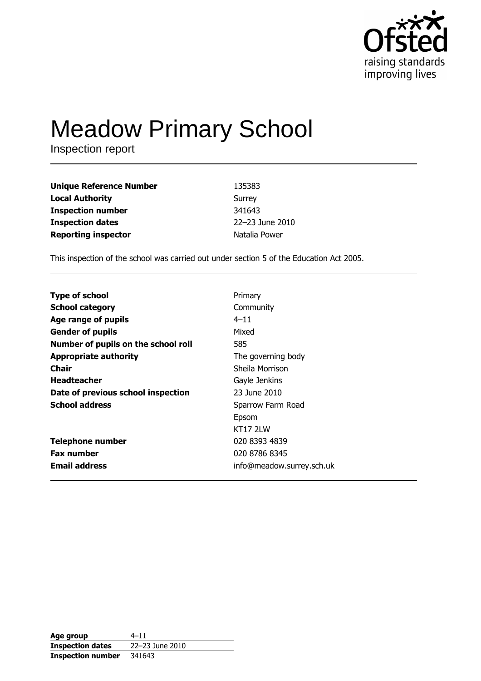

# **Meadow Primary School**

Inspection report

| <b>Unique Reference Number</b> | 135383          |
|--------------------------------|-----------------|
| <b>Local Authority</b>         | Surrey          |
| <b>Inspection number</b>       | 341643          |
| <b>Inspection dates</b>        | 22-23 June 2010 |
| <b>Reporting inspector</b>     | Natalia Power   |

This inspection of the school was carried out under section 5 of the Education Act 2005.

| <b>Type of school</b>               | Primary                   |
|-------------------------------------|---------------------------|
| <b>School category</b>              | Community                 |
| Age range of pupils                 | $4 - 11$                  |
| <b>Gender of pupils</b>             | Mixed                     |
| Number of pupils on the school roll | 585                       |
| <b>Appropriate authority</b>        | The governing body        |
| Chair                               | Sheila Morrison           |
| <b>Headteacher</b>                  | Gayle Jenkins             |
| Date of previous school inspection  | 23 June 2010              |
| <b>School address</b>               | Sparrow Farm Road         |
|                                     | Epsom                     |
|                                     | KT17 2I W                 |
| <b>Telephone number</b>             | 020 8393 4839             |
| <b>Fax number</b>                   | 020 8786 8345             |
| <b>Email address</b>                | info@meadow.surrey.sch.uk |
|                                     |                           |

| Age group                | $4 - 11$        |
|--------------------------|-----------------|
| <b>Inspection dates</b>  | 22-23 June 2010 |
| <b>Inspection number</b> | 341643          |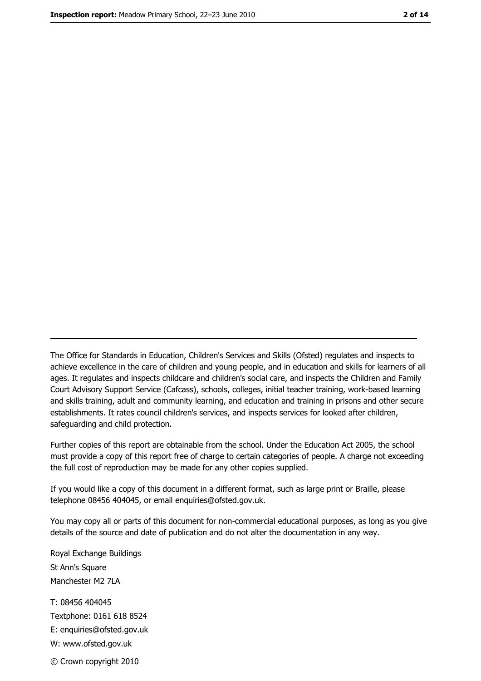The Office for Standards in Education, Children's Services and Skills (Ofsted) regulates and inspects to achieve excellence in the care of children and young people, and in education and skills for learners of all ages. It regulates and inspects childcare and children's social care, and inspects the Children and Family Court Advisory Support Service (Cafcass), schools, colleges, initial teacher training, work-based learning and skills training, adult and community learning, and education and training in prisons and other secure establishments. It rates council children's services, and inspects services for looked after children, safequarding and child protection.

Further copies of this report are obtainable from the school. Under the Education Act 2005, the school must provide a copy of this report free of charge to certain categories of people. A charge not exceeding the full cost of reproduction may be made for any other copies supplied.

If you would like a copy of this document in a different format, such as large print or Braille, please telephone 08456 404045, or email enquiries@ofsted.gov.uk.

You may copy all or parts of this document for non-commercial educational purposes, as long as you give details of the source and date of publication and do not alter the documentation in any way.

Royal Exchange Buildings St Ann's Square Manchester M2 7LA T: 08456 404045 Textphone: 0161 618 8524 E: enquiries@ofsted.gov.uk W: www.ofsted.gov.uk © Crown copyright 2010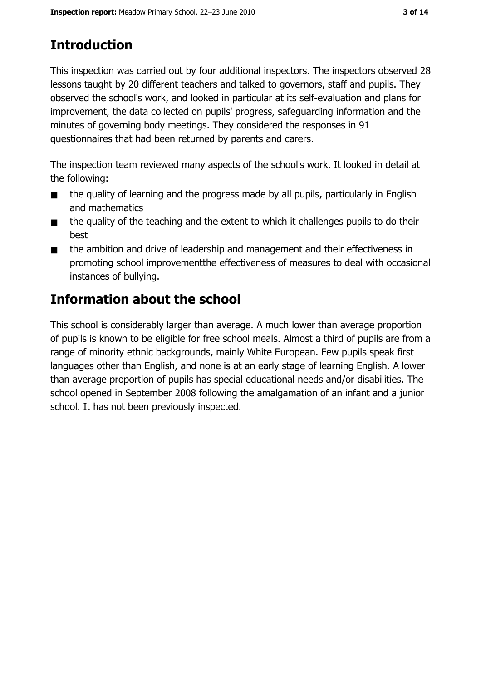# **Introduction**

This inspection was carried out by four additional inspectors. The inspectors observed 28 lessons taught by 20 different teachers and talked to governors, staff and pupils. They observed the school's work, and looked in particular at its self-evaluation and plans for improvement, the data collected on pupils' progress, safeguarding information and the minutes of governing body meetings. They considered the responses in 91 questionnaires that had been returned by parents and carers.

The inspection team reviewed many aspects of the school's work. It looked in detail at the following:

- the quality of learning and the progress made by all pupils, particularly in English  $\blacksquare$ and mathematics
- the quality of the teaching and the extent to which it challenges pupils to do their  $\blacksquare$ best
- the ambition and drive of leadership and management and their effectiveness in  $\blacksquare$ promoting school improvement the effectiveness of measures to deal with occasional instances of bullving.

## **Information about the school**

This school is considerably larger than average. A much lower than average proportion of pupils is known to be eligible for free school meals. Almost a third of pupils are from a range of minority ethnic backgrounds, mainly White European. Few pupils speak first languages other than English, and none is at an early stage of learning English. A lower than average proportion of pupils has special educational needs and/or disabilities. The school opened in September 2008 following the amalgamation of an infant and a junior school. It has not been previously inspected.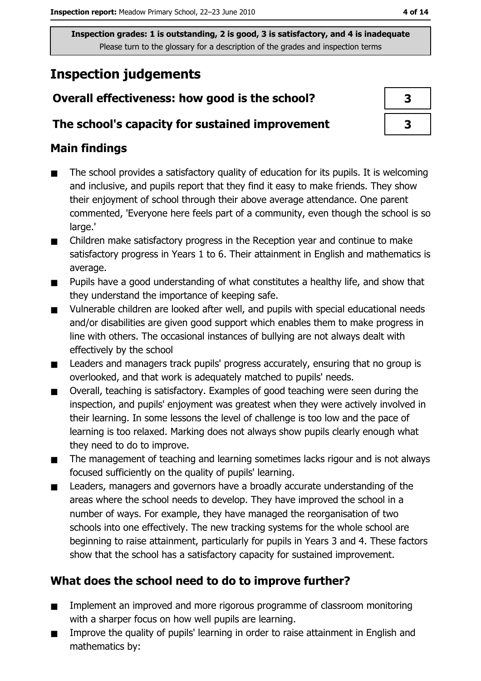# **Inspection judgements**

## Overall effectiveness: how good is the school?

#### The school's capacity for sustained improvement

## **Main findings**

- The school provides a satisfactory quality of education for its pupils. It is welcoming  $\blacksquare$ and inclusive, and pupils report that they find it easy to make friends. They show their enjoyment of school through their above average attendance. One parent commented, 'Everyone here feels part of a community, even though the school is so large.'
- Children make satisfactory progress in the Reception year and continue to make  $\blacksquare$ satisfactory progress in Years 1 to 6. Their attainment in English and mathematics is average.
- Pupils have a good understanding of what constitutes a healthy life, and show that  $\blacksquare$ they understand the importance of keeping safe.
- Vulnerable children are looked after well, and pupils with special educational needs  $\blacksquare$ and/or disabilities are given good support which enables them to make progress in line with others. The occasional instances of bullying are not always dealt with effectively by the school
- $\blacksquare$ Leaders and managers track pupils' progress accurately, ensuring that no group is overlooked, and that work is adequately matched to pupils' needs.
- Overall, teaching is satisfactory. Examples of good teaching were seen during the  $\blacksquare$ inspection, and pupils' enjoyment was greatest when they were actively involved in their learning. In some lessons the level of challenge is too low and the pace of learning is too relaxed. Marking does not always show pupils clearly enough what they need to do to improve.
- The management of teaching and learning sometimes lacks rigour and is not always  $\blacksquare$ focused sufficiently on the quality of pupils' learning.
- Leaders, managers and governors have a broadly accurate understanding of the  $\blacksquare$ areas where the school needs to develop. They have improved the school in a number of ways. For example, they have managed the reorganisation of two schools into one effectively. The new tracking systems for the whole school are beginning to raise attainment, particularly for pupils in Years 3 and 4. These factors show that the school has a satisfactory capacity for sustained improvement.

## What does the school need to do to improve further?

- Implement an improved and more rigorous programme of classroom monitoring  $\blacksquare$ with a sharper focus on how well pupils are learning.
- Improve the quality of pupils' learning in order to raise attainment in English and  $\blacksquare$ mathematics by:

| 3 |  |
|---|--|
| 3 |  |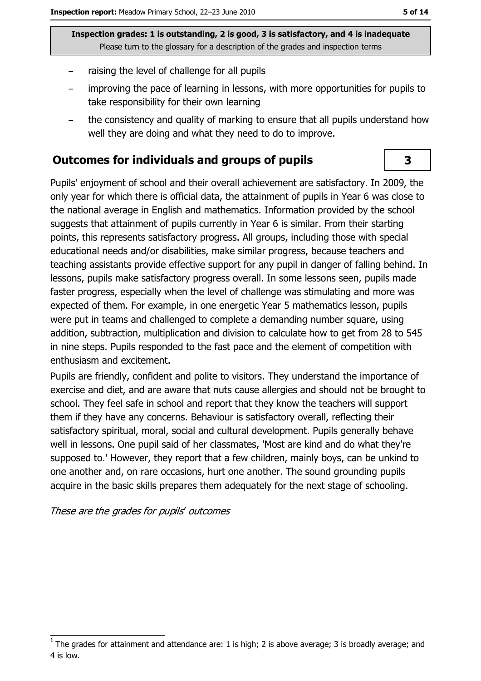- raising the level of challenge for all pupils
- improving the pace of learning in lessons, with more opportunities for pupils to take responsibility for their own learning
- the consistency and quality of marking to ensure that all pupils understand how well they are doing and what they need to do to improve.

#### **Outcomes for individuals and groups of pupils**

Pupils' enjoyment of school and their overall achievement are satisfactory. In 2009, the only year for which there is official data, the attainment of pupils in Year 6 was close to the national average in English and mathematics. Information provided by the school suggests that attainment of pupils currently in Year 6 is similar. From their starting points, this represents satisfactory progress. All groups, including those with special educational needs and/or disabilities, make similar progress, because teachers and teaching assistants provide effective support for any pupil in danger of falling behind. In lessons, pupils make satisfactory progress overall. In some lessons seen, pupils made faster progress, especially when the level of challenge was stimulating and more was expected of them. For example, in one energetic Year 5 mathematics lesson, pupils were put in teams and challenged to complete a demanding number square, using addition, subtraction, multiplication and division to calculate how to get from 28 to 545 in nine steps. Pupils responded to the fast pace and the element of competition with enthusiasm and excitement.

Pupils are friendly, confident and polite to visitors. They understand the importance of exercise and diet, and are aware that nuts cause allergies and should not be brought to school. They feel safe in school and report that they know the teachers will support them if they have any concerns. Behaviour is satisfactory overall, reflecting their satisfactory spiritual, moral, social and cultural development. Pupils generally behave well in lessons. One pupil said of her classmates, 'Most are kind and do what they're supposed to.' However, they report that a few children, mainly boys, can be unkind to one another and, on rare occasions, hurt one another. The sound grounding pupils acquire in the basic skills prepares them adequately for the next stage of schooling.

#### These are the grades for pupils' outcomes

3

The grades for attainment and attendance are: 1 is high; 2 is above average; 3 is broadly average; and 4 is low.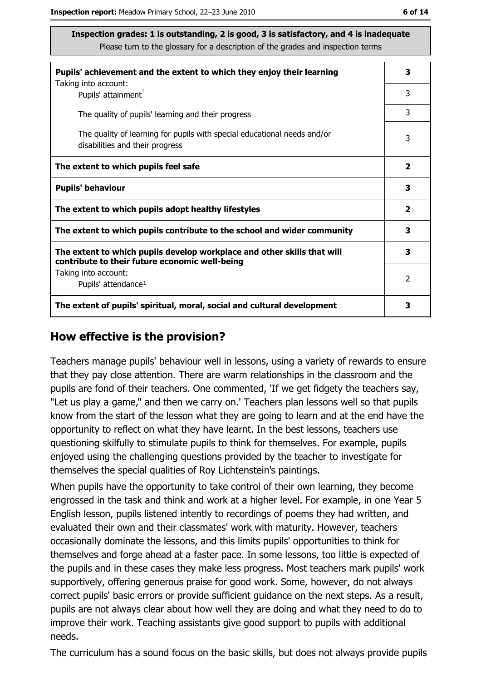| Pupils' achievement and the extent to which they enjoy their learning                                                     |   |  |
|---------------------------------------------------------------------------------------------------------------------------|---|--|
| Taking into account:<br>Pupils' attainment <sup>1</sup>                                                                   | 3 |  |
| The quality of pupils' learning and their progress                                                                        | 3 |  |
| The quality of learning for pupils with special educational needs and/or<br>disabilities and their progress               | 3 |  |
| The extent to which pupils feel safe                                                                                      | 2 |  |
| <b>Pupils' behaviour</b>                                                                                                  | 3 |  |
| The extent to which pupils adopt healthy lifestyles                                                                       | 2 |  |
| The extent to which pupils contribute to the school and wider community                                                   | 3 |  |
| The extent to which pupils develop workplace and other skills that will<br>contribute to their future economic well-being | 3 |  |
| Taking into account:<br>Pupils' attendance <sup>1</sup>                                                                   | 2 |  |
| The extent of pupils' spiritual, moral, social and cultural development                                                   |   |  |

#### How effective is the provision?

Teachers manage pupils' behaviour well in lessons, using a variety of rewards to ensure that they pay close attention. There are warm relationships in the classroom and the pupils are fond of their teachers. One commented, 'If we get fidgety the teachers say, "Let us play a game," and then we carry on.' Teachers plan lessons well so that pupils know from the start of the lesson what they are going to learn and at the end have the opportunity to reflect on what they have learnt. In the best lessons, teachers use questioning skilfully to stimulate pupils to think for themselves. For example, pupils enjoyed using the challenging questions provided by the teacher to investigate for themselves the special qualities of Roy Lichtenstein's paintings.

When pupils have the opportunity to take control of their own learning, they become engrossed in the task and think and work at a higher level. For example, in one Year 5 English lesson, pupils listened intently to recordings of poems they had written, and evaluated their own and their classmates' work with maturity. However, teachers occasionally dominate the lessons, and this limits pupils' opportunities to think for themselves and forge ahead at a faster pace. In some lessons, too little is expected of the pupils and in these cases they make less progress. Most teachers mark pupils' work supportively, offering generous praise for good work. Some, however, do not always correct pupils' basic errors or provide sufficient guidance on the next steps. As a result, pupils are not always clear about how well they are doing and what they need to do to improve their work. Teaching assistants give good support to pupils with additional needs.

The curriculum has a sound focus on the basic skills, but does not always provide pupils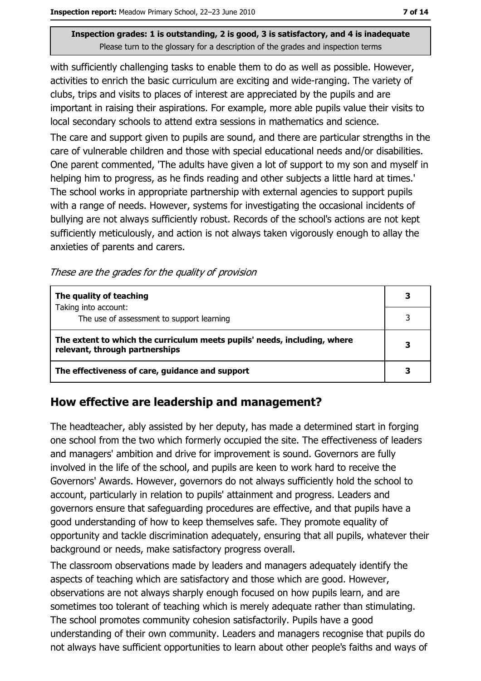with sufficiently challenging tasks to enable them to do as well as possible. However, activities to enrich the basic curriculum are exciting and wide-ranging. The variety of clubs, trips and visits to places of interest are appreciated by the pupils and are important in raising their aspirations. For example, more able pupils value their visits to local secondary schools to attend extra sessions in mathematics and science.

The care and support given to pupils are sound, and there are particular strengths in the care of vulnerable children and those with special educational needs and/or disabilities. One parent commented, 'The adults have given a lot of support to my son and myself in helping him to progress, as he finds reading and other subjects a little hard at times." The school works in appropriate partnership with external agencies to support pupils with a range of needs. However, systems for investigating the occasional incidents of bullying are not always sufficiently robust. Records of the school's actions are not kept sufficiently meticulously, and action is not always taken vigorously enough to allay the anxieties of parents and carers.

These are the grades for the quality of provision

| The quality of teaching                                                                                    | 3 |  |
|------------------------------------------------------------------------------------------------------------|---|--|
| Taking into account:<br>The use of assessment to support learning                                          |   |  |
| The extent to which the curriculum meets pupils' needs, including, where<br>relevant, through partnerships |   |  |
| The effectiveness of care, guidance and support                                                            |   |  |

#### How effective are leadership and management?

The headteacher, ably assisted by her deputy, has made a determined start in forging one school from the two which formerly occupied the site. The effectiveness of leaders and managers' ambition and drive for improvement is sound. Governors are fully involved in the life of the school, and pupils are keen to work hard to receive the Governors' Awards. However, governors do not always sufficiently hold the school to account, particularly in relation to pupils' attainment and progress. Leaders and governors ensure that safeguarding procedures are effective, and that pupils have a good understanding of how to keep themselves safe. They promote equality of opportunity and tackle discrimination adequately, ensuring that all pupils, whatever their background or needs, make satisfactory progress overall.

The classroom observations made by leaders and managers adequately identify the aspects of teaching which are satisfactory and those which are good. However, observations are not always sharply enough focused on how pupils learn, and are sometimes too tolerant of teaching which is merely adequate rather than stimulating. The school promotes community cohesion satisfactorily. Pupils have a good understanding of their own community. Leaders and managers recognise that pupils do not always have sufficient opportunities to learn about other people's faiths and ways of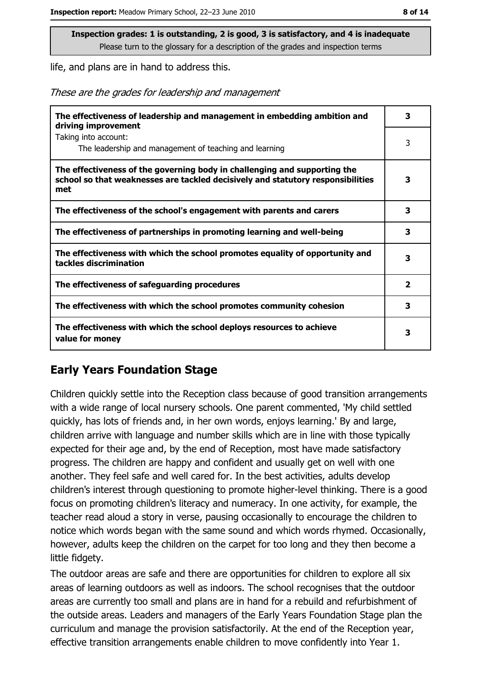life, and plans are in hand to address this.

These are the grades for leadership and management

| The effectiveness of leadership and management in embedding ambition and<br>driving improvement                                                                     | 3                       |
|---------------------------------------------------------------------------------------------------------------------------------------------------------------------|-------------------------|
| Taking into account:<br>The leadership and management of teaching and learning                                                                                      | 3                       |
| The effectiveness of the governing body in challenging and supporting the<br>school so that weaknesses are tackled decisively and statutory responsibilities<br>met | 3                       |
| The effectiveness of the school's engagement with parents and carers                                                                                                | 3                       |
| The effectiveness of partnerships in promoting learning and well-being                                                                                              | 3                       |
| The effectiveness with which the school promotes equality of opportunity and<br>tackles discrimination                                                              | 3                       |
| The effectiveness of safeguarding procedures                                                                                                                        | $\overline{\mathbf{2}}$ |
| The effectiveness with which the school promotes community cohesion                                                                                                 | 3                       |
| The effectiveness with which the school deploys resources to achieve<br>value for money                                                                             | 3                       |

#### **Early Years Foundation Stage**

Children quickly settle into the Reception class because of good transition arrangements with a wide range of local nursery schools. One parent commented, 'My child settled quickly, has lots of friends and, in her own words, enjoys learning.' By and large, children arrive with language and number skills which are in line with those typically expected for their age and, by the end of Reception, most have made satisfactory progress. The children are happy and confident and usually get on well with one another. They feel safe and well cared for. In the best activities, adults develop children's interest through questioning to promote higher-level thinking. There is a good focus on promoting children's literacy and numeracy. In one activity, for example, the teacher read aloud a story in verse, pausing occasionally to encourage the children to notice which words began with the same sound and which words rhymed. Occasionally, however, adults keep the children on the carpet for too long and they then become a little fidgety.

The outdoor areas are safe and there are opportunities for children to explore all six areas of learning outdoors as well as indoors. The school recognises that the outdoor areas are currently too small and plans are in hand for a rebuild and refurbishment of the outside areas. Leaders and managers of the Early Years Foundation Stage plan the curriculum and manage the provision satisfactorily. At the end of the Reception year, effective transition arrangements enable children to move confidently into Year 1.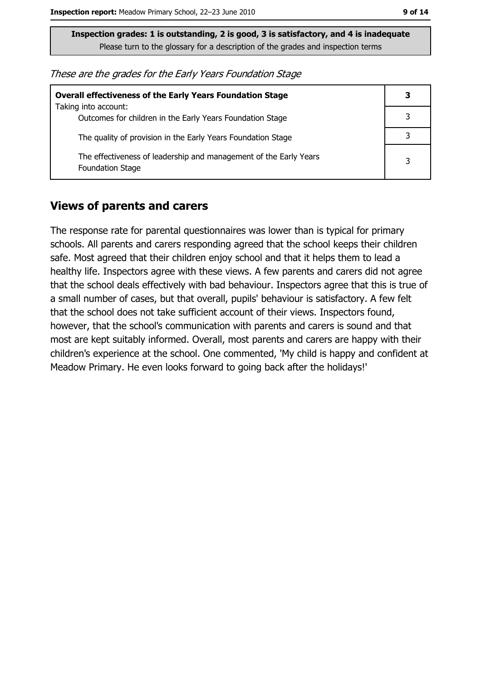| These are the grades for the Early Years Foundation Stage |  |  |
|-----------------------------------------------------------|--|--|
|-----------------------------------------------------------|--|--|

| <b>Overall effectiveness of the Early Years Foundation Stage</b>                             | 3 |
|----------------------------------------------------------------------------------------------|---|
| Taking into account:<br>Outcomes for children in the Early Years Foundation Stage            |   |
| The quality of provision in the Early Years Foundation Stage                                 |   |
| The effectiveness of leadership and management of the Early Years<br><b>Foundation Stage</b> | 3 |

#### **Views of parents and carers**

The response rate for parental questionnaires was lower than is typical for primary schools. All parents and carers responding agreed that the school keeps their children safe. Most agreed that their children enjoy school and that it helps them to lead a healthy life. Inspectors agree with these views. A few parents and carers did not agree that the school deals effectively with bad behaviour. Inspectors agree that this is true of a small number of cases, but that overall, pupils' behaviour is satisfactory. A few felt that the school does not take sufficient account of their views. Inspectors found, however, that the school's communication with parents and carers is sound and that most are kept suitably informed. Overall, most parents and carers are happy with their children's experience at the school. One commented, 'My child is happy and confident at Meadow Primary. He even looks forward to going back after the holidays!'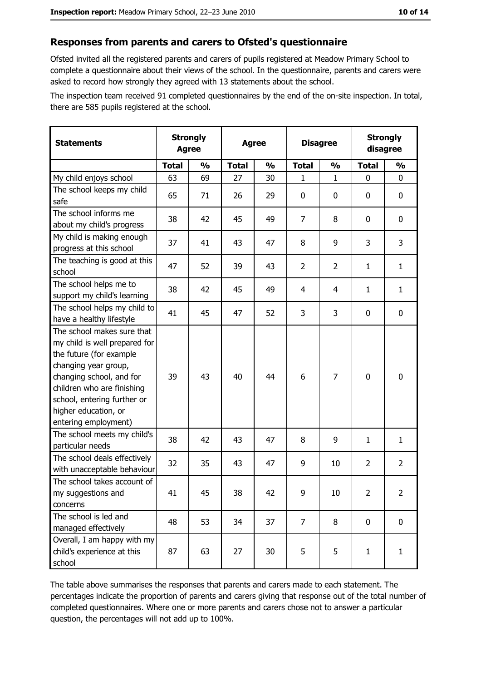#### Responses from parents and carers to Ofsted's questionnaire

Ofsted invited all the registered parents and carers of pupils registered at Meadow Primary School to complete a questionnaire about their views of the school. In the questionnaire, parents and carers were asked to record how strongly they agreed with 13 statements about the school.

The inspection team received 91 completed questionnaires by the end of the on-site inspection. In total, there are 585 pupils registered at the school.

| <b>Statements</b>                                                                                                                                                                                                                                       | <b>Agree</b> | <b>Strongly</b> | <b>Agree</b> |               |                |                | <b>Disagree</b> |                | <b>Strongly</b><br>disagree |  |
|---------------------------------------------------------------------------------------------------------------------------------------------------------------------------------------------------------------------------------------------------------|--------------|-----------------|--------------|---------------|----------------|----------------|-----------------|----------------|-----------------------------|--|
|                                                                                                                                                                                                                                                         | <b>Total</b> | $\frac{0}{0}$   | <b>Total</b> | $\frac{0}{0}$ | <b>Total</b>   | $\frac{0}{0}$  | <b>Total</b>    | $\frac{0}{0}$  |                             |  |
| My child enjoys school                                                                                                                                                                                                                                  | 63           | 69              | 27           | 30            | 1              | $\mathbf{1}$   | $\mathbf{0}$    | 0              |                             |  |
| The school keeps my child<br>safe                                                                                                                                                                                                                       | 65           | 71              | 26           | 29            | $\mathbf 0$    | 0              | 0               | $\mathbf 0$    |                             |  |
| The school informs me<br>about my child's progress                                                                                                                                                                                                      | 38           | 42              | 45           | 49            | $\overline{7}$ | 8              | 0               | 0              |                             |  |
| My child is making enough<br>progress at this school                                                                                                                                                                                                    | 37           | 41              | 43           | 47            | 8              | 9              | 3               | 3              |                             |  |
| The teaching is good at this<br>school                                                                                                                                                                                                                  | 47           | 52              | 39           | 43            | $\overline{2}$ | $\overline{2}$ | 1               | $\mathbf{1}$   |                             |  |
| The school helps me to<br>support my child's learning                                                                                                                                                                                                   | 38           | 42              | 45           | 49            | 4              | 4              | 1               | $\mathbf{1}$   |                             |  |
| The school helps my child to<br>have a healthy lifestyle                                                                                                                                                                                                | 41           | 45              | 47           | 52            | 3              | 3              | 0               | $\mathbf 0$    |                             |  |
| The school makes sure that<br>my child is well prepared for<br>the future (for example<br>changing year group,<br>changing school, and for<br>children who are finishing<br>school, entering further or<br>higher education, or<br>entering employment) | 39           | 43              | 40           | 44            | 6              | 7              | $\mathbf 0$     | $\mathbf 0$    |                             |  |
| The school meets my child's<br>particular needs                                                                                                                                                                                                         | 38           | 42              | 43           | 47            | 8              | 9              | 1               | $\mathbf{1}$   |                             |  |
| The school deals effectively<br>with unacceptable behaviour                                                                                                                                                                                             | 32           | 35              | 43           | 47            | 9              | 10             | 2               | $\overline{2}$ |                             |  |
| The school takes account of<br>my suggestions and<br>concerns                                                                                                                                                                                           | 41           | 45              | 38           | 42            | 9              | 10             | $\overline{2}$  | $\overline{2}$ |                             |  |
| The school is led and<br>managed effectively                                                                                                                                                                                                            | 48           | 53              | 34           | 37            | $\overline{7}$ | 8              | $\mathbf 0$     | 0              |                             |  |
| Overall, I am happy with my<br>child's experience at this<br>school                                                                                                                                                                                     | 87           | 63              | 27           | 30            | 5              | 5              | $\mathbf{1}$    | $\mathbf{1}$   |                             |  |

The table above summarises the responses that parents and carers made to each statement. The percentages indicate the proportion of parents and carers giving that response out of the total number of completed questionnaires. Where one or more parents and carers chose not to answer a particular question, the percentages will not add up to 100%.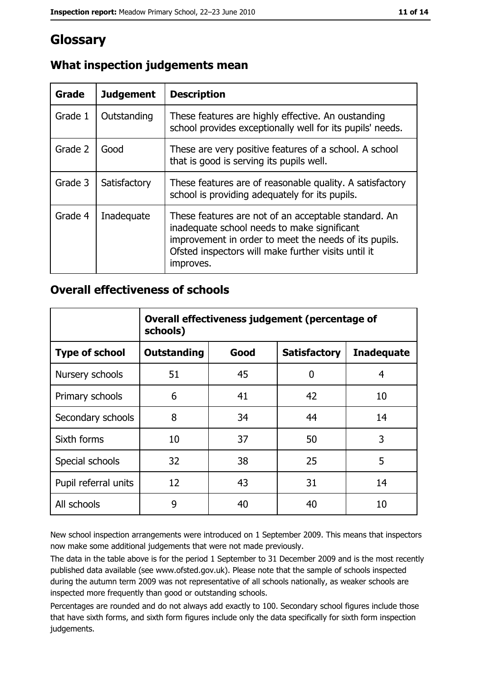## Glossary

| Grade   | <b>Judgement</b> | <b>Description</b>                                                                                                                                                                                                               |
|---------|------------------|----------------------------------------------------------------------------------------------------------------------------------------------------------------------------------------------------------------------------------|
| Grade 1 | Outstanding      | These features are highly effective. An oustanding<br>school provides exceptionally well for its pupils' needs.                                                                                                                  |
| Grade 2 | Good             | These are very positive features of a school. A school<br>that is good is serving its pupils well.                                                                                                                               |
| Grade 3 | Satisfactory     | These features are of reasonable quality. A satisfactory<br>school is providing adequately for its pupils.                                                                                                                       |
| Grade 4 | Inadequate       | These features are not of an acceptable standard. An<br>inadequate school needs to make significant<br>improvement in order to meet the needs of its pupils.<br>Ofsted inspectors will make further visits until it<br>improves. |

## What inspection judgements mean

#### **Overall effectiveness of schools**

|                       | Overall effectiveness judgement (percentage of<br>schools) |      |                     |                   |
|-----------------------|------------------------------------------------------------|------|---------------------|-------------------|
| <b>Type of school</b> | <b>Outstanding</b>                                         | Good | <b>Satisfactory</b> | <b>Inadequate</b> |
| Nursery schools       | 51                                                         | 45   | 0                   | 4                 |
| Primary schools       | 6                                                          | 41   | 42                  | 10                |
| Secondary schools     | 8                                                          | 34   | 44                  | 14                |
| Sixth forms           | 10                                                         | 37   | 50                  | 3                 |
| Special schools       | 32                                                         | 38   | 25                  | 5                 |
| Pupil referral units  | 12                                                         | 43   | 31                  | 14                |
| All schools           | 9                                                          | 40   | 40                  | 10                |

New school inspection arrangements were introduced on 1 September 2009. This means that inspectors now make some additional judgements that were not made previously.

The data in the table above is for the period 1 September to 31 December 2009 and is the most recently published data available (see www.ofsted.gov.uk). Please note that the sample of schools inspected during the autumn term 2009 was not representative of all schools nationally, as weaker schools are inspected more frequently than good or outstanding schools.

Percentages are rounded and do not always add exactly to 100. Secondary school figures include those that have sixth forms, and sixth form figures include only the data specifically for sixth form inspection judgements.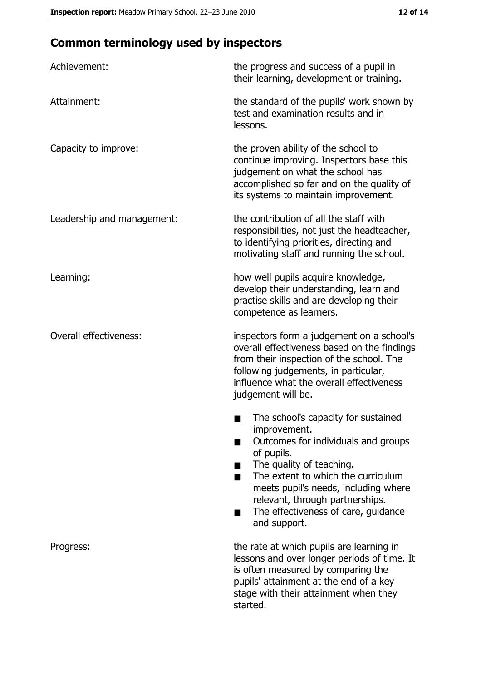# **Common terminology used by inspectors**

| Achievement:                  | the progress and success of a pupil in<br>their learning, development or training.                                                                                                                                                                                                                           |
|-------------------------------|--------------------------------------------------------------------------------------------------------------------------------------------------------------------------------------------------------------------------------------------------------------------------------------------------------------|
| Attainment:                   | the standard of the pupils' work shown by<br>test and examination results and in<br>lessons.                                                                                                                                                                                                                 |
| Capacity to improve:          | the proven ability of the school to<br>continue improving. Inspectors base this<br>judgement on what the school has<br>accomplished so far and on the quality of<br>its systems to maintain improvement.                                                                                                     |
| Leadership and management:    | the contribution of all the staff with<br>responsibilities, not just the headteacher,<br>to identifying priorities, directing and<br>motivating staff and running the school.                                                                                                                                |
| Learning:                     | how well pupils acquire knowledge,<br>develop their understanding, learn and<br>practise skills and are developing their<br>competence as learners.                                                                                                                                                          |
| <b>Overall effectiveness:</b> | inspectors form a judgement on a school's<br>overall effectiveness based on the findings<br>from their inspection of the school. The<br>following judgements, in particular,<br>influence what the overall effectiveness<br>judgement will be.                                                               |
|                               | The school's capacity for sustained<br>improvement.<br>Outcomes for individuals and groups<br>of pupils.<br>The quality of teaching.<br>The extent to which the curriculum<br>meets pupil's needs, including where<br>relevant, through partnerships.<br>The effectiveness of care, guidance<br>and support. |
| Progress:                     | the rate at which pupils are learning in<br>lessons and over longer periods of time. It<br>is often measured by comparing the<br>pupils' attainment at the end of a key<br>stage with their attainment when they<br>started.                                                                                 |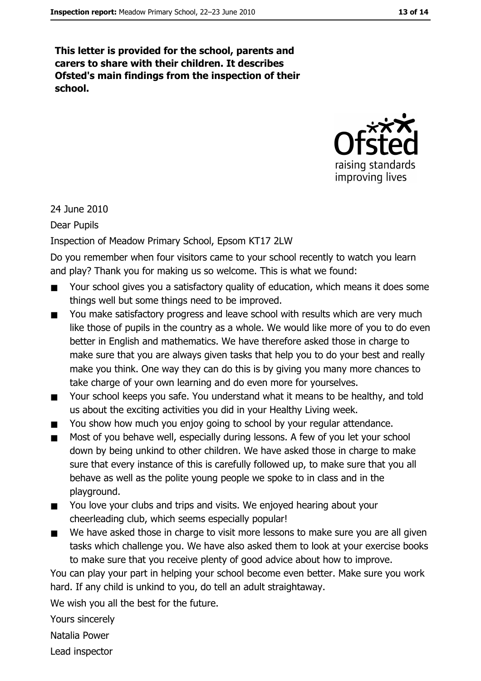This letter is provided for the school, parents and carers to share with their children. It describes Ofsted's main findings from the inspection of their school.



24 June 2010

**Dear Pupils** 

#### Inspection of Meadow Primary School, Epsom KT17 2LW

Do you remember when four visitors came to your school recently to watch you learn and play? Thank you for making us so welcome. This is what we found:

- Your school gives you a satisfactory quality of education, which means it does some  $\blacksquare$ things well but some things need to be improved.
- You make satisfactory progress and leave school with results which are very much  $\blacksquare$ like those of pupils in the country as a whole. We would like more of you to do even better in English and mathematics. We have therefore asked those in charge to make sure that you are always given tasks that help you to do your best and really make you think. One way they can do this is by giving you many more chances to take charge of your own learning and do even more for yourselves.
- Your school keeps you safe. You understand what it means to be healthy, and told  $\blacksquare$ us about the exciting activities you did in your Healthy Living week.
- You show how much you enjoy going to school by your regular attendance.
- Most of you behave well, especially during lessons. A few of you let your school  $\blacksquare$ down by being unkind to other children. We have asked those in charge to make sure that every instance of this is carefully followed up, to make sure that you all behave as well as the polite young people we spoke to in class and in the playaround.
- You love your clubs and trips and visits. We enjoyed hearing about your  $\blacksquare$ cheerleading club, which seems especially popular!
- We have asked those in charge to visit more lessons to make sure you are all given  $\blacksquare$ tasks which challenge you. We have also asked them to look at your exercise books to make sure that you receive plenty of good advice about how to improve.

You can play your part in helping your school become even better. Make sure you work hard. If any child is unkind to you, do tell an adult straightaway.

We wish you all the best for the future.

Yours sincerely

Natalia Power

Lead inspector